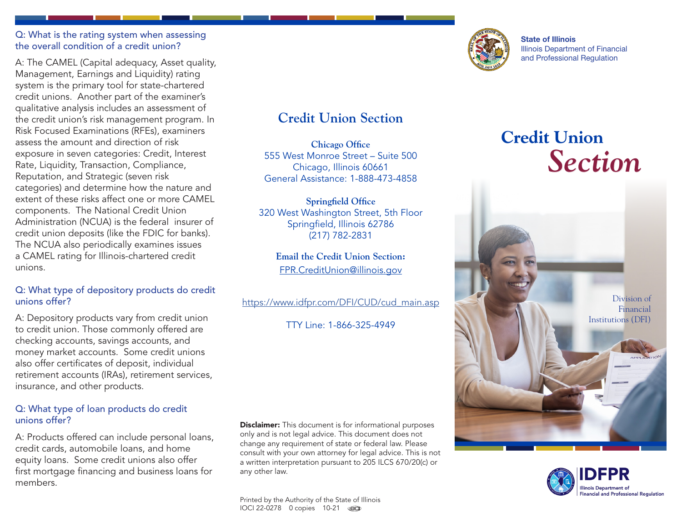#### Q: What is the rating system when assessing the overall condition of a credit union?

A: The CAMEL (Capital adequacy, Asset quality, Management, Earnings and Liquidity) rating system is the primary tool for state-chartered credit unions. Another part of the examiner's qualitative analysis includes an assessment of the credit union's risk management program. In Risk Focused Examinations (RFEs), examiners assess the amount and direction of risk exposure in seven categories: Credit, Interest Rate, Liquidity, Transaction, Compliance, Reputation, and Strategic (seven risk categories) and determine how the nature and extent of these risks affect one or more CAMEL components. The National Credit Union Administration (NCUA) is the federal insurer of credit union deposits (like the FDIC for banks). The NCUA also periodically examines issues a CAMEL rating for Illinois-chartered credit unions.

### Q: What type of depository products do credit unions offer?

A: Depository products vary from credit union to credit union. Those commonly offered are checking accounts, savings accounts, and money market accounts. Some credit unions also offer certificates of deposit, individual retirement accounts (IRAs), retirement services, insurance, and other products.

### Q: What type of loan products do credit unions offer?

A: Products offered can include personal loans, credit cards, automobile loans, and home equity loans. Some credit unions also offer first mortgage financing and business loans for members.

# **Credit Union Section**

**Chicago Office** 555 West Monroe Street – Suite 500 Chicago, Illinois 60661 General Assistance: 1-888-473-4858

**Springfield Office** 320 West Washington Street, 5th Floor Springfield, Illinois 62786 (217) 782-2831

**Email the Credit Union Section:** FPR.CreditUnion@illinois.gov

[https://www.idfpr.com/DFI/CUD/cud\\_main.asp](https://www.idfpr.com/DFI/CUD/cud_main.asp)

TTY Line: 1-866-325-4949

**Disclaimer:** This document is for informational purposes only and is not legal advice. This document does not change any requirement of state or federal law. Please consult with your own attorney for legal advice. This is not a written interpretation pursuant to 205 ILCS 670/20(c) or any other law.



State of Illinois Illinois Department of Financial and Professional Regulation

# **Credit Union** *Section*